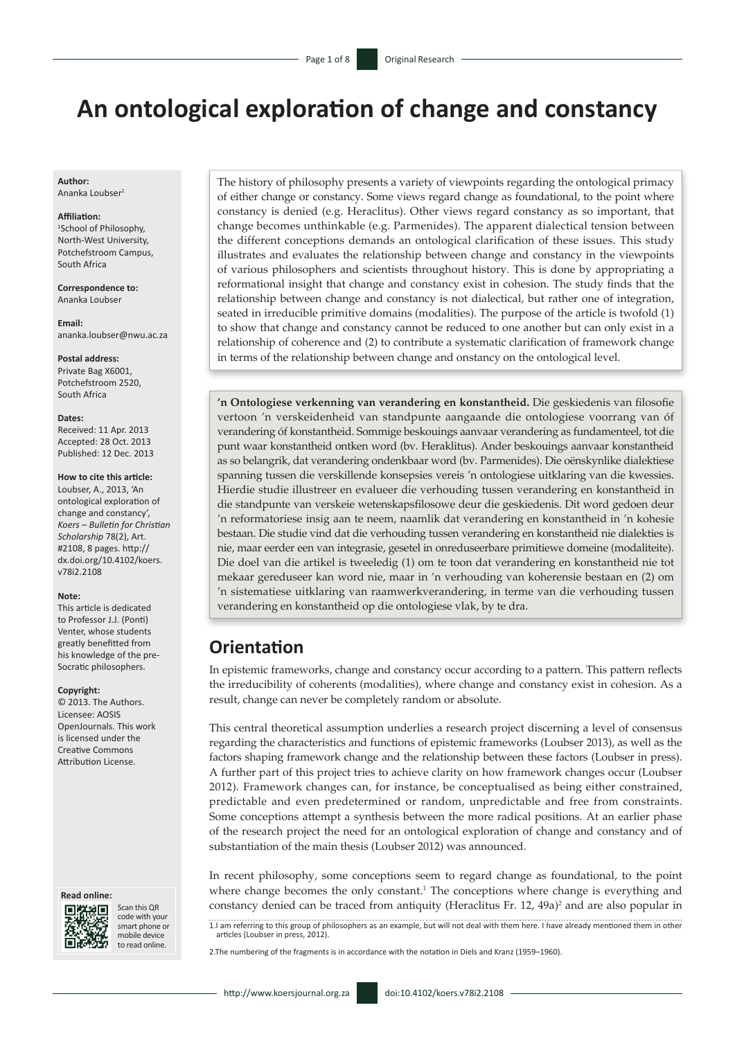# **An ontological exploration of change and constancy**

**Author:** Ananka Loubser<sup>1</sup>

#### **Affiliation:**

1 School of Philosophy, North-West University, Potchefstroom Campus, South Africa

**Correspondence to:** Ananka Loubser

**Email:** [ananka.loubser@nwu.ac.za](mailto:ananka.loubser@nwu.ac.za)

#### **Postal address:**

Private Bag X6001, Potchefstroom 2520, South Africa

#### **Dates:**

Received: 11 Apr. 2013 Accepted: 28 Oct. 2013 Published: 12 Dec. 2013

#### **How to cite this article:**

Loubser, A., 2013, 'An ontological exploration of change and constancy', *Koers – Bulletin for Christian Scholarship* 78(2), Art. #2108, 8 pages. [http://](http://dx.doi.org/10.4102/koers.v78i2.2108) [dx.doi.org/10.4102/koers.](http://dx.doi.org/10.4102/koers.v78i2.2108) [v78i2.2108](http://dx.doi.org/10.4102/koers.v78i2.2108)

#### **Note:**

This article is dedicated to Professor J.J. (Ponti) Venter, whose students greatly benefitted from his knowledge of the pre-Socratic philosophers.

#### **Copyright:**

© 2013. The Authors. Licensee: AOSIS OpenJournals. This work is licensed under the Creative Commons Attribution License.

#### **Read online:**



Scan this QR code with your smart phone or mobile device to read online.

The history of philosophy presents a variety of viewpoints regarding the ontological primacy of either change or constancy. Some views regard change as foundational, to the point where constancy is denied (e.g. Heraclitus). Other views regard constancy as so important, that change becomes unthinkable (e.g. Parmenides). The apparent dialectical tension between the different conceptions demands an ontological clarification of these issues. This study illustrates and evaluates the relationship between change and constancy in the viewpoints of various philosophers and scientists throughout history. This is done by appropriating a reformational insight that change and constancy exist in cohesion. The study finds that the relationship between change and constancy is not dialectical, but rather one of integration, seated in irreducible primitive domains (modalities). The purpose of the article is twofold (1) to show that change and constancy cannot be reduced to one another but can only exist in a relationship of coherence and (2) to contribute a systematic clarification of framework change in terms of the relationship between change and onstancy on the ontological level.

**'n Ontologiese verkenning van verandering en konstantheid.** Die geskiedenis van filosofie vertoon 'n verskeidenheid van standpunte aangaande die ontologiese voorrang van óf verandering óf konstantheid. Sommige beskouings aanvaar verandering as fundamenteel, tot die punt waar konstantheid ontken word (bv. Heraklitus). Ander beskouings aanvaar konstantheid as so belangrik, dat verandering ondenkbaar word (bv. Parmenides). Die oënskynlike dialektiese spanning tussen die verskillende konsepsies vereis 'n ontologiese uitklaring van die kwessies. Hierdie studie illustreer en evalueer die verhouding tussen verandering en konstantheid in die standpunte van verskeie wetenskapsfilosowe deur die geskiedenis. Dit word gedoen deur 'n reformatoriese insig aan te neem, naamlik dat verandering en konstantheid in 'n kohesie bestaan. Die studie vind dat die verhouding tussen verandering en konstantheid nie dialekties is nie, maar eerder een van integrasie, gesetel in onreduseerbare primitiewe domeine (modaliteite). Die doel van die artikel is tweeledig (1) om te toon dat verandering en konstantheid nie tot mekaar gereduseer kan word nie, maar in 'n verhouding van koherensie bestaan en (2) om 'n sistematiese uitklaring van raamwerkverandering, in terme van die verhouding tussen verandering en konstantheid op die ontologiese vlak, by te dra.

## **Orientation**

In epistemic frameworks, change and constancy occur according to a pattern. This pattern reflects the irreducibility of coherents (modalities), where change and constancy exist in cohesion. As a result, change can never be completely random or absolute.

This central theoretical assumption underlies a research project discerning a level of consensus regarding the characteristics and functions of epistemic frameworks (Loubser 2013), as well as the factors shaping framework change and the relationship between these factors (Loubser in press). A further part of this project tries to achieve clarity on how framework changes occur (Loubser 2012). Framework changes can, for instance, be conceptualised as being either constrained, predictable and even predetermined or random, unpredictable and free from constraints. Some conceptions attempt a synthesis between the more radical positions. At an earlier phase of the research project the need for an ontological exploration of change and constancy and of substantiation of the main thesis (Loubser 2012) was announced.

In recent philosophy, some conceptions seem to regard change as foundational, to the point where change becomes the only constant.<sup>1</sup> The conceptions where change is everything and constancy denied can be traced from antiquity (Heraclitus Fr.  $12$ ,  $49a$ )<sup>2</sup> and are also popular in

1.I am referring to this group of philosophers as an example, but will not deal with them here. I have already mentioned them in other articles (Loubser in press, 2012).

2.The numbering of the fragments is in accordance with the notation in Diels and Kranz (1959–1960).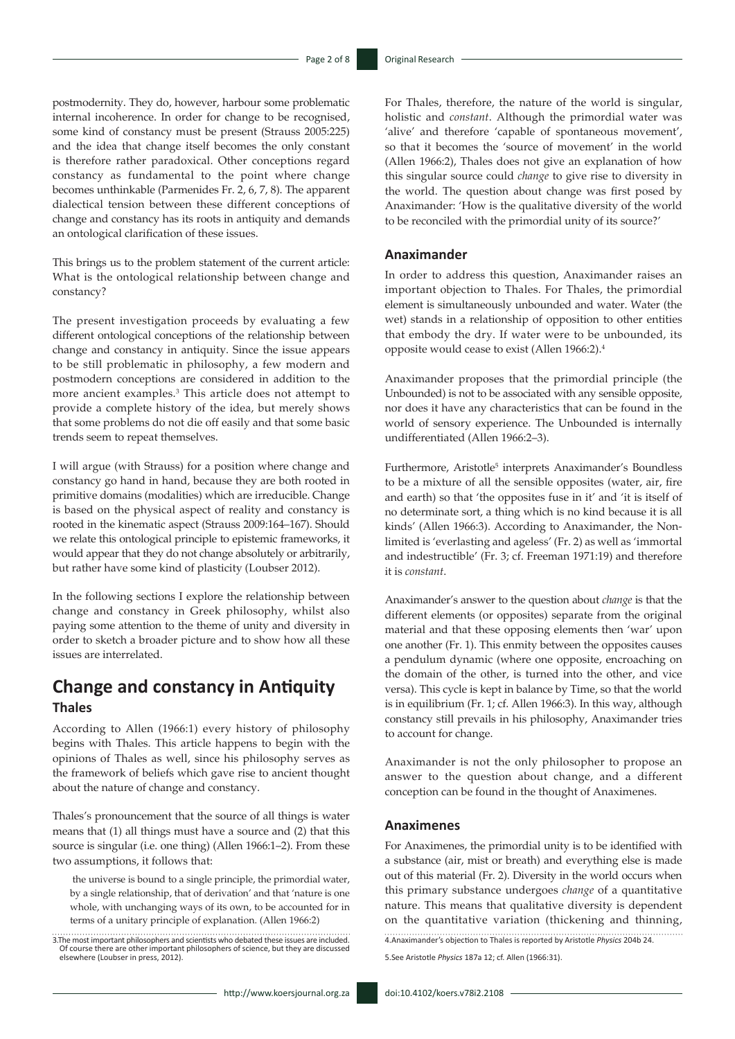postmodernity. They do, however, harbour some problematic internal incoherence. In order for change to be recognised, some kind of constancy must be present (Strauss 2005:225) and the idea that change itself becomes the only constant is therefore rather paradoxical. Other conceptions regard constancy as fundamental to the point where change becomes unthinkable (Parmenides Fr. 2, 6, 7, 8). The apparent dialectical tension between these different conceptions of change and constancy has its roots in antiquity and demands an ontological clarification of these issues.

This brings us to the problem statement of the current article: What is the ontological relationship between change and constancy?

The present investigation proceeds by evaluating a few different ontological conceptions of the relationship between change and constancy in antiquity. Since the issue appears to be still problematic in philosophy, a few modern and postmodern conceptions are considered in addition to the more ancient examples.<sup>3</sup> This article does not attempt to provide a complete history of the idea, but merely shows that some problems do not die off easily and that some basic trends seem to repeat themselves.

I will argue (with Strauss) for a position where change and constancy go hand in hand, because they are both rooted in primitive domains (modalities) which are irreducible. Change is based on the physical aspect of reality and constancy is rooted in the kinematic aspect (Strauss 2009:164–167). Should we relate this ontological principle to epistemic frameworks, it would appear that they do not change absolutely or arbitrarily, but rather have some kind of plasticity (Loubser 2012).

In the following sections I explore the relationship between change and constancy in Greek philosophy, whilst also paying some attention to the theme of unity and diversity in order to sketch a broader picture and to show how all these issues are interrelated.

## **Change and constancy in Antiquity Thales**

According to Allen (1966:1) every history of philosophy begins with Thales. This article happens to begin with the opinions of Thales as well, since his philosophy serves as the framework of beliefs which gave rise to ancient thought about the nature of change and constancy.

Thales's pronouncement that the source of all things is water means that (1) all things must have a source and (2) that this source is singular (i.e. one thing) (Allen 1966:1–2). From these two assumptions, it follows that:

 the universe is bound to a single principle, the primordial water, by a single relationship, that of derivation' and that 'nature is one whole, with unchanging ways of its own, to be accounted for in terms of a unitary principle of explanation. (Allen 1966:2)

3.The most important philosophers and scientists who debated these issues are included. Of course there are other important philosophers of science, but they are discussed elsewhere (Loubser in press, 2012). For Thales, therefore, the nature of the world is singular, holistic and *constant*. Although the primordial water was 'alive' and therefore 'capable of spontaneous movement', so that it becomes the 'source of movement' in the world (Allen 1966:2), Thales does not give an explanation of how this singular source could *change* to give rise to diversity in the world. The question about change was first posed by Anaximander: 'How is the qualitative diversity of the world to be reconciled with the primordial unity of its source?'

#### **Anaximander**

In order to address this question, Anaximander raises an important objection to Thales. For Thales, the primordial element is simultaneously unbounded and water. Water (the wet) stands in a relationship of opposition to other entities that embody the dry. If water were to be unbounded, its opposite would cease to exist (Allen 1966:2).4

Anaximander proposes that the primordial principle (the Unbounded) is not to be associated with any sensible opposite, nor does it have any characteristics that can be found in the world of sensory experience. The Unbounded is internally undifferentiated (Allen 1966:2–3).

Furthermore, Aristotle<sup>5</sup> interprets Anaximander's Boundless to be a mixture of all the sensible opposites (water, air, fire and earth) so that 'the opposites fuse in it' and 'it is itself of no determinate sort, a thing which is no kind because it is all kinds' (Allen 1966:3). According to Anaximander, the Nonlimited is 'everlasting and ageless' (Fr. 2) as well as 'immortal and indestructible' (Fr. 3; cf. Freeman 1971:19) and therefore it is *constant*.

Anaximander's answer to the question about *change* is that the different elements (or opposites) separate from the original material and that these opposing elements then 'war' upon one another (Fr. 1). This enmity between the opposites causes a pendulum dynamic (where one opposite, encroaching on the domain of the other, is turned into the other, and vice versa). This cycle is kept in balance by Time, so that the world is in equilibrium (Fr. 1; cf. Allen 1966:3). In this way, although constancy still prevails in his philosophy, Anaximander tries to account for change.

Anaximander is not the only philosopher to propose an answer to the question about change, and a different conception can be found in the thought of Anaximenes.

#### **Anaximenes**

For Anaximenes, the primordial unity is to be identified with a substance (air, mist or breath) and everything else is made out of this material (Fr. 2). Diversity in the world occurs when this primary substance undergoes *change* of a quantitative nature. This means that qualitative diversity is dependent on the quantitative variation (thickening and thinning,

4.Anaximander's objection to Thales is reported by Aristotle *Physics* 204b 24.

5.See Aristotle *Physics* 187a 12; cf. Allen (1966:31).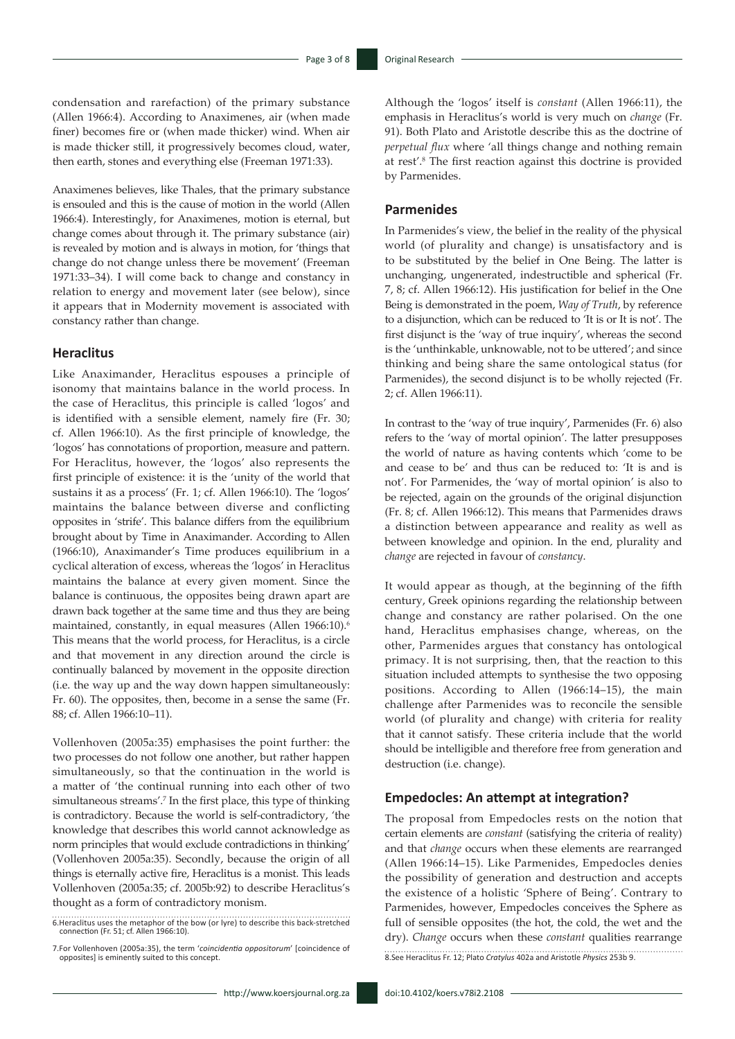condensation and rarefaction) of the primary substance (Allen 1966:4). According to Anaximenes, air (when made finer) becomes fire or (when made thicker) wind. When air is made thicker still, it progressively becomes cloud, water, then earth, stones and everything else (Freeman 1971:33).

Anaximenes believes, like Thales, that the primary substance is ensouled and this is the cause of motion in the world (Allen 1966:4). Interestingly, for Anaximenes, motion is eternal, but change comes about through it. The primary substance (air) is revealed by motion and is always in motion, for 'things that change do not change unless there be movement' (Freeman 1971:33–34). I will come back to change and constancy in relation to energy and movement later (see below), since it appears that in Modernity movement is associated with constancy rather than change.

#### **Heraclitus**

Like Anaximander, Heraclitus espouses a principle of isonomy that maintains balance in the world process. In the case of Heraclitus, this principle is called 'logos' and is identified with a sensible element, namely fire (Fr. 30; cf. Allen 1966:10). As the first principle of knowledge, the 'logos' has connotations of proportion, measure and pattern. For Heraclitus, however, the 'logos' also represents the first principle of existence: it is the 'unity of the world that sustains it as a process' (Fr. 1; cf. Allen 1966:10). The 'logos' maintains the balance between diverse and conflicting opposites in 'strife'. This balance differs from the equilibrium brought about by Time in Anaximander. According to Allen (1966:10), Anaximander's Time produces equilibrium in a cyclical alteration of excess, whereas the 'logos' in Heraclitus maintains the balance at every given moment. Since the balance is continuous, the opposites being drawn apart are drawn back together at the same time and thus they are being maintained, constantly, in equal measures (Allen 1966:10).<sup>6</sup> This means that the world process, for Heraclitus, is a circle and that movement in any direction around the circle is continually balanced by movement in the opposite direction (i.e. the way up and the way down happen simultaneously: Fr. 60). The opposites, then, become in a sense the same (Fr. 88; cf. Allen 1966:10–11).

Vollenhoven (2005a:35) emphasises the point further: the two processes do not follow one another, but rather happen simultaneously, so that the continuation in the world is a matter of 'the continual running into each other of two simultaneous streams'.7 In the first place, this type of thinking is contradictory. Because the world is self-contradictory, 'the knowledge that describes this world cannot acknowledge as norm principles that would exclude contradictions in thinking' (Vollenhoven 2005a:35). Secondly, because the origin of all things is eternally active fire, Heraclitus is a monist. This leads Vollenhoven (2005a:35; cf. 2005b:92) to describe Heraclitus's thought as a form of contradictory monism.

Although the 'logos' itself is *constant* (Allen 1966:11), the emphasis in Heraclitus's world is very much on *change* (Fr. 91). Both Plato and Aristotle describe this as the doctrine of *perpetual flux* where 'all things change and nothing remain at rest'.8 The first reaction against this doctrine is provided by Parmenides.

### **Parmenides**

In Parmenides's view, the belief in the reality of the physical world (of plurality and change) is unsatisfactory and is to be substituted by the belief in One Being. The latter is unchanging, ungenerated, indestructible and spherical (Fr. 7, 8; cf. Allen 1966:12). His justification for belief in the One Being is demonstrated in the poem, *Way of Truth*, by reference to a disjunction, which can be reduced to 'It is or It is not'. The first disjunct is the 'way of true inquiry', whereas the second is the 'unthinkable, unknowable, not to be uttered'; and since thinking and being share the same ontological status (for Parmenides), the second disjunct is to be wholly rejected (Fr. 2; cf. Allen 1966:11).

In contrast to the 'way of true inquiry', Parmenides (Fr. 6) also refers to the 'way of mortal opinion'. The latter presupposes the world of nature as having contents which 'come to be and cease to be' and thus can be reduced to: 'It is and is not'. For Parmenides, the 'way of mortal opinion' is also to be rejected, again on the grounds of the original disjunction (Fr. 8; cf. Allen 1966:12). This means that Parmenides draws a distinction between appearance and reality as well as between knowledge and opinion. In the end, plurality and *change* are rejected in favour of *constancy*.

It would appear as though, at the beginning of the fifth century, Greek opinions regarding the relationship between change and constancy are rather polarised. On the one hand, Heraclitus emphasises change, whereas, on the other, Parmenides argues that constancy has ontological primacy. It is not surprising, then, that the reaction to this situation included attempts to synthesise the two opposing positions. According to Allen (1966:14–15), the main challenge after Parmenides was to reconcile the sensible world (of plurality and change) with criteria for reality that it cannot satisfy. These criteria include that the world should be intelligible and therefore free from generation and destruction (i.e. change).

#### **Empedocles: An attempt at integration?**

The proposal from Empedocles rests on the notion that certain elements are *constant* (satisfying the criteria of reality) and that *change* occurs when these elements are rearranged (Allen 1966:14–15). Like Parmenides, Empedocles denies the possibility of generation and destruction and accepts the existence of a holistic 'Sphere of Being'. Contrary to Parmenides, however, Empedocles conceives the Sphere as full of sensible opposites (the hot, the cold, the wet and the dry). *Change* occurs when these *constant* qualities rearrange 8.See Heraclitus Fr. 12; Plato *Cratylus* 402a and Aristotle *Physics* 253b 9.. . . . . . . . . . . . .

<sup>6.</sup>Heraclitus uses the metaphor of the bow (or lyre) to describe this back-stretched connection (Fr. 51; cf. Allen 1966:10).

<sup>7.</sup>For Vollenhoven (2005a:35), the term '*coincidentia oppositorum*' [coincidence of opposites] is eminently suited to this concept.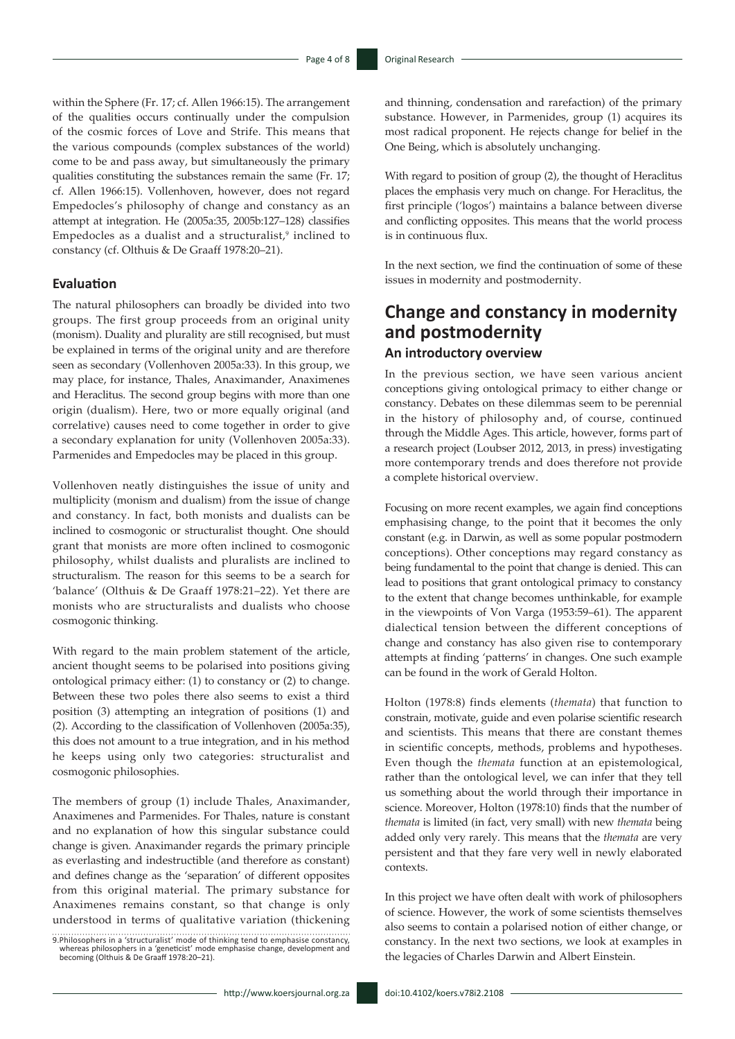within the Sphere (Fr. 17; cf. Allen 1966:15). The arrangement of the qualities occurs continually under the compulsion of the cosmic forces of Love and Strife. This means that the various compounds (complex substances of the world) come to be and pass away, but simultaneously the primary qualities constituting the substances remain the same (Fr. 17; cf. Allen 1966:15). Vollenhoven, however, does not regard Empedocles's philosophy of change and constancy as an attempt at integration. He (2005a:35, 2005b:127–128) classifies Empedocles as a dualist and a structuralist,<sup>9</sup> inclined to constancy (cf. Olthuis & De Graaff 1978:20–21).

#### **Evaluation**

The natural philosophers can broadly be divided into two groups. The first group proceeds from an original unity (monism). Duality and plurality are still recognised, but must be explained in terms of the original unity and are therefore seen as secondary (Vollenhoven 2005a:33). In this group, we may place, for instance, Thales, Anaximander, Anaximenes and Heraclitus. The second group begins with more than one origin (dualism). Here, two or more equally original (and correlative) causes need to come together in order to give a secondary explanation for unity (Vollenhoven 2005a:33). Parmenides and Empedocles may be placed in this group.

Vollenhoven neatly distinguishes the issue of unity and multiplicity (monism and dualism) from the issue of change and constancy. In fact, both monists and dualists can be inclined to cosmogonic or structuralist thought. One should grant that monists are more often inclined to cosmogonic philosophy, whilst dualists and pluralists are inclined to structuralism. The reason for this seems to be a search for 'balance' (Olthuis & De Graaff 1978:21–22). Yet there are monists who are structuralists and dualists who choose cosmogonic thinking.

With regard to the main problem statement of the article, ancient thought seems to be polarised into positions giving ontological primacy either: (1) to constancy or (2) to change. Between these two poles there also seems to exist a third position (3) attempting an integration of positions (1) and (2). According to the classification of Vollenhoven (2005a:35), this does not amount to a true integration, and in his method he keeps using only two categories: structuralist and cosmogonic philosophies.

The members of group (1) include Thales, Anaximander, Anaximenes and Parmenides. For Thales, nature is constant and no explanation of how this singular substance could change is given. Anaximander regards the primary principle as everlasting and indestructible (and therefore as constant) and defines change as the 'separation' of different opposites from this original material. The primary substance for Anaximenes remains constant, so that change is only understood in terms of qualitative variation (thickening

9.Philosophers in a 'structuralist' mode of thinking tend to emphasise constancy, whereas philosophers in a 'geneticist' mode emphasise change, development and becoming (Olthuis & De Graaff 1978:20–21). and thinning, condensation and rarefaction) of the primary substance. However, in Parmenides, group (1) acquires its most radical proponent. He rejects change for belief in the One Being, which is absolutely unchanging.

With regard to position of group (2), the thought of Heraclitus places the emphasis very much on change. For Heraclitus, the first principle ('logos') maintains a balance between diverse and conflicting opposites. This means that the world process is in continuous flux.

In the next section, we find the continuation of some of these issues in modernity and postmodernity.

## **Change and constancy in modernity and postmodernity An introductory overview**

In the previous section, we have seen various ancient conceptions giving ontological primacy to either change or constancy. Debates on these dilemmas seem to be perennial in the history of philosophy and, of course, continued through the Middle Ages. This article, however, forms part of a research project (Loubser 2012, 2013, in press) investigating more contemporary trends and does therefore not provide a complete historical overview.

Focusing on more recent examples, we again find conceptions emphasising change, to the point that it becomes the only constant (e.g. in Darwin, as well as some popular postmodern conceptions). Other conceptions may regard constancy as being fundamental to the point that change is denied. This can lead to positions that grant ontological primacy to constancy to the extent that change becomes unthinkable, for example in the viewpoints of Von Varga (1953:59–61). The apparent dialectical tension between the different conceptions of change and constancy has also given rise to contemporary attempts at finding 'patterns' in changes. One such example can be found in the work of Gerald Holton.

Holton (1978:8) finds elements (*themata*) that function to constrain, motivate, guide and even polarise scientific research and scientists. This means that there are constant themes in scientific concepts, methods, problems and hypotheses. Even though the *themata* function at an epistemological, rather than the ontological level, we can infer that they tell us something about the world through their importance in science. Moreover, Holton (1978:10) finds that the number of *themata* is limited (in fact, very small) with new *themata* being added only very rarely. This means that the *themata* are very persistent and that they fare very well in newly elaborated contexts.

In this project we have often dealt with work of philosophers of science. However, the work of some scientists themselves also seems to contain a polarised notion of either change, or constancy. In the next two sections, we look at examples in the legacies of Charles Darwin and Albert Einstein.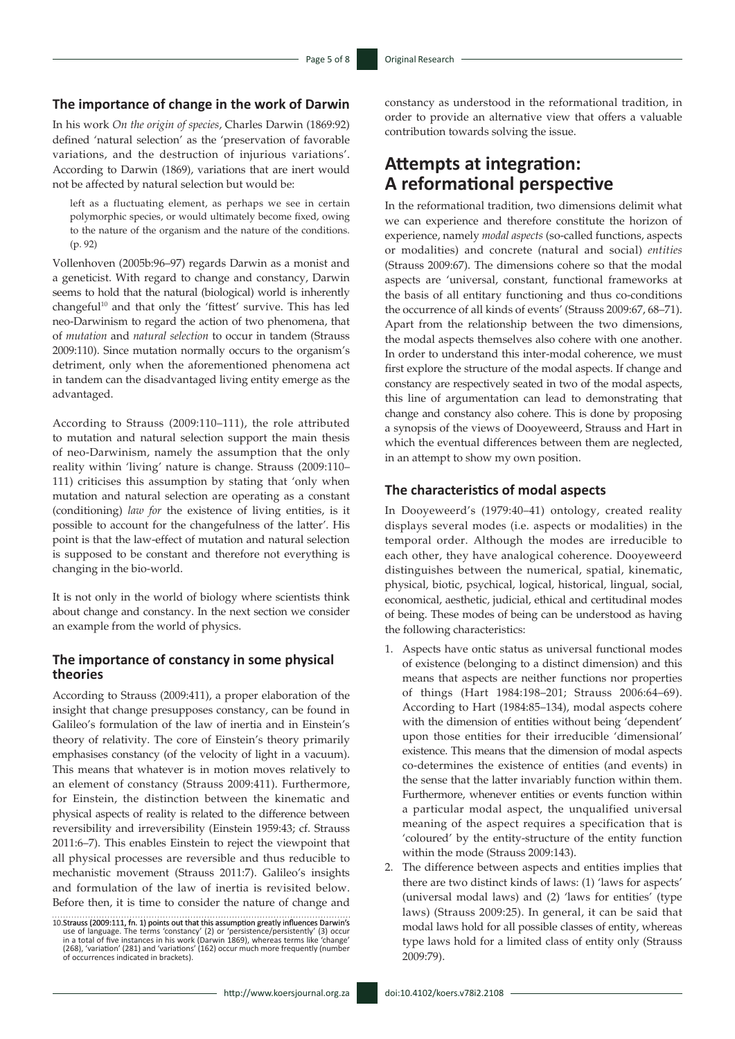### **The importance of change in the work of Darwin**

In his work *On the origin of species*, Charles Darwin (1869:92) defined 'natural selection' as the 'preservation of favorable variations, and the destruction of injurious variations'. According to Darwin (1869), variations that are inert would not be affected by natural selection but would be:

left as a fluctuating element, as perhaps we see in certain polymorphic species, or would ultimately become fixed, owing to the nature of the organism and the nature of the conditions. (p. 92)

Vollenhoven (2005b:96–97) regards Darwin as a monist and a geneticist. With regard to change and constancy, Darwin seems to hold that the natural (biological) world is inherently changeful<sup>10</sup> and that only the 'fittest' survive. This has led neo-Darwinism to regard the action of two phenomena, that of *mutation* and *natural selection* to occur in tandem (Strauss 2009:110). Since mutation normally occurs to the organism's detriment, only when the aforementioned phenomena act in tandem can the disadvantaged living entity emerge as the advantaged.

According to Strauss (2009:110–111), the role attributed to mutation and natural selection support the main thesis of neo-Darwinism, namely the assumption that the only reality within 'living' nature is change. Strauss (2009:110– 111) criticises this assumption by stating that 'only when mutation and natural selection are operating as a constant (conditioning) *law for* the existence of living entities, is it possible to account for the changefulness of the latter'. His point is that the law-effect of mutation and natural selection is supposed to be constant and therefore not everything is changing in the bio-world.

It is not only in the world of biology where scientists think about change and constancy. In the next section we consider an example from the world of physics.

### **The importance of constancy in some physical theories**

According to Strauss (2009:411), a proper elaboration of the insight that change presupposes constancy, can be found in Galileo's formulation of the law of inertia and in Einstein's theory of relativity. The core of Einstein's theory primarily emphasises constancy (of the velocity of light in a vacuum). This means that whatever is in motion moves relatively to an element of constancy (Strauss 2009:411). Furthermore, for Einstein, the distinction between the kinematic and physical aspects of reality is related to the difference between reversibility and irreversibility (Einstein 1959:43; cf. Strauss 2011:6–7). This enables Einstein to reject the viewpoint that all physical processes are reversible and thus reducible to mechanistic movement (Strauss 2011:7). Galileo's insights and formulation of the law of inertia is revisited below. Before then, it is time to consider the nature of change and

constancy as understood in the reformational tradition, in order to provide an alternative view that offers a valuable contribution towards solving the issue.

## **Attempts at integration: A reformational perspective**

In the reformational tradition, two dimensions delimit what we can experience and therefore constitute the horizon of experience, namely *modal aspects* (so-called functions, aspects or modalities) and concrete (natural and social) *entities* (Strauss 2009:67). The dimensions cohere so that the modal aspects are 'universal, constant, functional frameworks at the basis of all entitary functioning and thus co-conditions the occurrence of all kinds of events' (Strauss 2009:67, 68–71). Apart from the relationship between the two dimensions, the modal aspects themselves also cohere with one another. In order to understand this inter-modal coherence, we must first explore the structure of the modal aspects. If change and constancy are respectively seated in two of the modal aspects, this line of argumentation can lead to demonstrating that change and constancy also cohere. This is done by proposing a synopsis of the views of Dooyeweerd, Strauss and Hart in which the eventual differences between them are neglected, in an attempt to show my own position.

### **The characteristics of modal aspects**

In Dooyeweerd's (1979:40–41) ontology, created reality displays several modes (i.e. aspects or modalities) in the temporal order. Although the modes are irreducible to each other, they have analogical coherence. Dooyeweerd distinguishes between the numerical, spatial, kinematic, physical, biotic, psychical, logical, historical, lingual, social, economical, aesthetic, judicial, ethical and certitudinal modes of being. These modes of being can be understood as having the following characteristics:

- 1. Aspects have ontic status as universal functional modes of existence (belonging to a distinct dimension) and this means that aspects are neither functions nor properties of things (Hart 1984:198–201; Strauss 2006:64–69). According to Hart (1984:85–134), modal aspects cohere with the dimension of entities without being 'dependent' upon those entities for their irreducible 'dimensional' existence. This means that the dimension of modal aspects co-determines the existence of entities (and events) in the sense that the latter invariably function within them. Furthermore, whenever entities or events function within a particular modal aspect, the unqualified universal meaning of the aspect requires a specification that is 'coloured' by the entity-structure of the entity function within the mode (Strauss 2009:143).
- 2. The difference between aspects and entities implies that there are two distinct kinds of laws: (1) 'laws for aspects' (universal modal laws) and (2) 'laws for entities' (type laws) (Strauss 2009:25). In general, it can be said that modal laws hold for all possible classes of entity, whereas type laws hold for a limited class of entity only (Strauss 2009:79).

<sup>10.</sup>Strauss (2009:111, fn. 1) points out that this assumption greatly influences Darwin's<br>use of language. The terms 'constancy' (2) or 'persistence/persistently' (3) occur<br>'in a total of five instances in his work (Darwin (268), 'variation' (281) and 'variations' (162) occur much more frequently (number of occurrences indicated in brackets).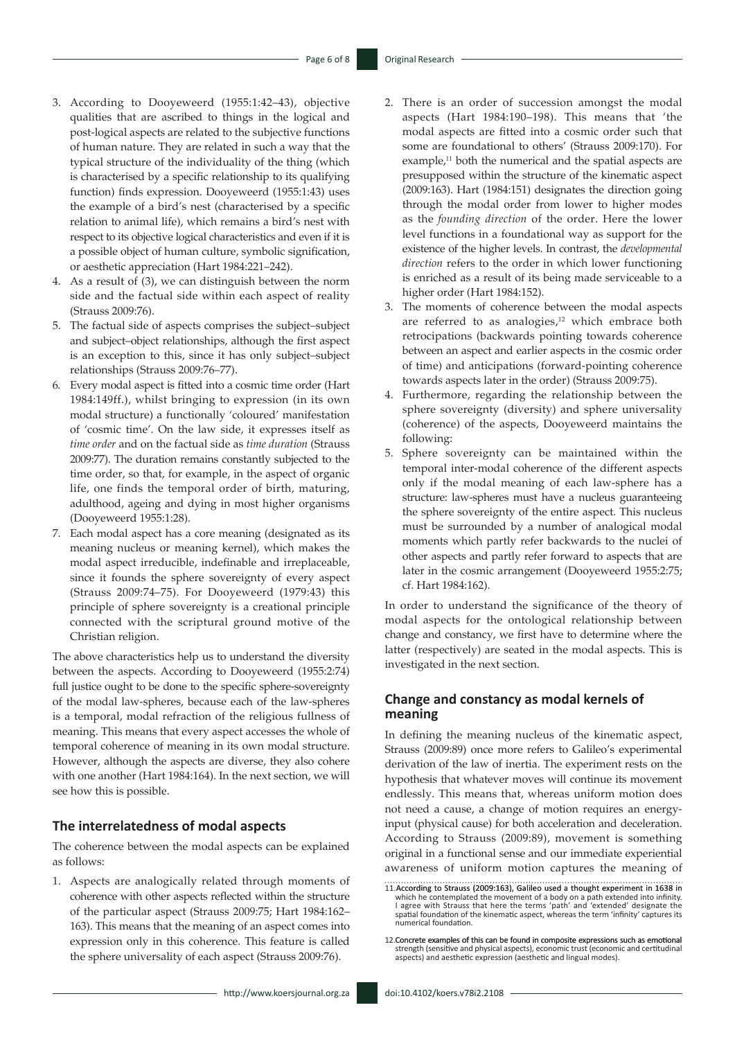- 3. According to Dooyeweerd (1955:1:42–43), objective qualities that are ascribed to things in the logical and post-logical aspects are related to the subjective functions of human nature. They are related in such a way that the typical structure of the individuality of the thing (which is characterised by a specific relationship to its qualifying function) finds expression. Dooyeweerd (1955:1:43) uses the example of a bird's nest (characterised by a specific relation to animal life), which remains a bird's nest with respect to its objective logical characteristics and even if it is a possible object of human culture, symbolic signification, or aesthetic appreciation (Hart 1984:221–242).
- 4. As a result of (3), we can distinguish between the norm side and the factual side within each aspect of reality (Strauss 2009:76).
- 5. The factual side of aspects comprises the subject–subject and subject–object relationships, although the first aspect is an exception to this, since it has only subject–subject relationships (Strauss 2009:76–77).
- 6. Every modal aspect is fitted into a cosmic time order (Hart 1984:149ff.), whilst bringing to expression (in its own modal structure) a functionally 'coloured' manifestation of 'cosmic time'. On the law side, it expresses itself as *time order* and on the factual side as *time duration* (Strauss 2009:77). The duration remains constantly subjected to the time order, so that, for example, in the aspect of organic life, one finds the temporal order of birth, maturing, adulthood, ageing and dying in most higher organisms (Dooyeweerd 1955:1:28).
- 7. Each modal aspect has a core meaning (designated as its meaning nucleus or meaning kernel), which makes the modal aspect irreducible, indefinable and irreplaceable, since it founds the sphere sovereignty of every aspect (Strauss 2009:74–75). For Dooyeweerd (1979:43) this principle of sphere sovereignty is a creational principle connected with the scriptural ground motive of the Christian religion.

The above characteristics help us to understand the diversity between the aspects. According to Dooyeweerd (1955:2:74) full justice ought to be done to the specific sphere-sovereignty of the modal law-spheres, because each of the law-spheres is a temporal, modal refraction of the religious fullness of meaning. This means that every aspect accesses the whole of temporal coherence of meaning in its own modal structure. However, although the aspects are diverse, they also cohere with one another (Hart 1984:164). In the next section, we will see how this is possible.

#### **The interrelatedness of modal aspects**

The coherence between the modal aspects can be explained as follows:

1. Aspects are analogically related through moments of coherence with other aspects reflected within the structure of the particular aspect (Strauss 2009:75; Hart 1984:162– 163). This means that the meaning of an aspect comes into expression only in this coherence. This feature is called the sphere universality of each aspect (Strauss 2009:76).

- 2. There is an order of succession amongst the modal aspects (Hart 1984:190–198). This means that 'the modal aspects are fitted into a cosmic order such that some are foundational to others' (Strauss 2009:170). For example, $11$  both the numerical and the spatial aspects are presupposed within the structure of the kinematic aspect (2009:163). Hart (1984:151) designates the direction going through the modal order from lower to higher modes as the *founding direction* of the order. Here the lower level functions in a foundational way as support for the existence of the higher levels. In contrast, the *developmental direction* refers to the order in which lower functioning is enriched as a result of its being made serviceable to a higher order (Hart 1984:152).
- 3. The moments of coherence between the modal aspects are referred to as analogies, $12$  which embrace both retrocipations (backwards pointing towards coherence between an aspect and earlier aspects in the cosmic order of time) and anticipations (forward-pointing coherence towards aspects later in the order) (Strauss 2009:75).
- 4. Furthermore, regarding the relationship between the sphere sovereignty (diversity) and sphere universality (coherence) of the aspects, Dooyeweerd maintains the following:
- 5. Sphere sovereignty can be maintained within the temporal inter-modal coherence of the different aspects only if the modal meaning of each law-sphere has a structure: law-spheres must have a nucleus guaranteeing the sphere sovereignty of the entire aspect. This nucleus must be surrounded by a number of analogical modal moments which partly refer backwards to the nuclei of other aspects and partly refer forward to aspects that are later in the cosmic arrangement (Dooyeweerd 1955:2:75; cf. Hart 1984:162).

In order to understand the significance of the theory of modal aspects for the ontological relationship between change and constancy, we first have to determine where the latter (respectively) are seated in the modal aspects. This is investigated in the next section.

### **Change and constancy as modal kernels of meaning**

In defining the meaning nucleus of the kinematic aspect, Strauss (2009:89) once more refers to Galileo's experimental derivation of the law of inertia. The experiment rests on the hypothesis that whatever moves will continue its movement endlessly. This means that, whereas uniform motion does not need a cause, a change of motion requires an energyinput (physical cause) for both acceleration and deceleration. According to Strauss (2009:89), movement is something original in a functional sense and our immediate experiential awareness of uniform motion captures the meaning of

<sup>11.</sup> According to Strauss (2009:163), Galileo used a thought experiment in 1638 in which he contemplated the movement of a body on a path extended into infinity. I agree with Strauss that here the terms 'path' and 'extende numerical foundation.

<sup>12.</sup>Concrete examples of this can be found in composite expressions such as emotional strength (sensitive and physical aspects), economic trust (economic and certitudinal aspects) and aesthetic expression (aesthetic and lingual modes).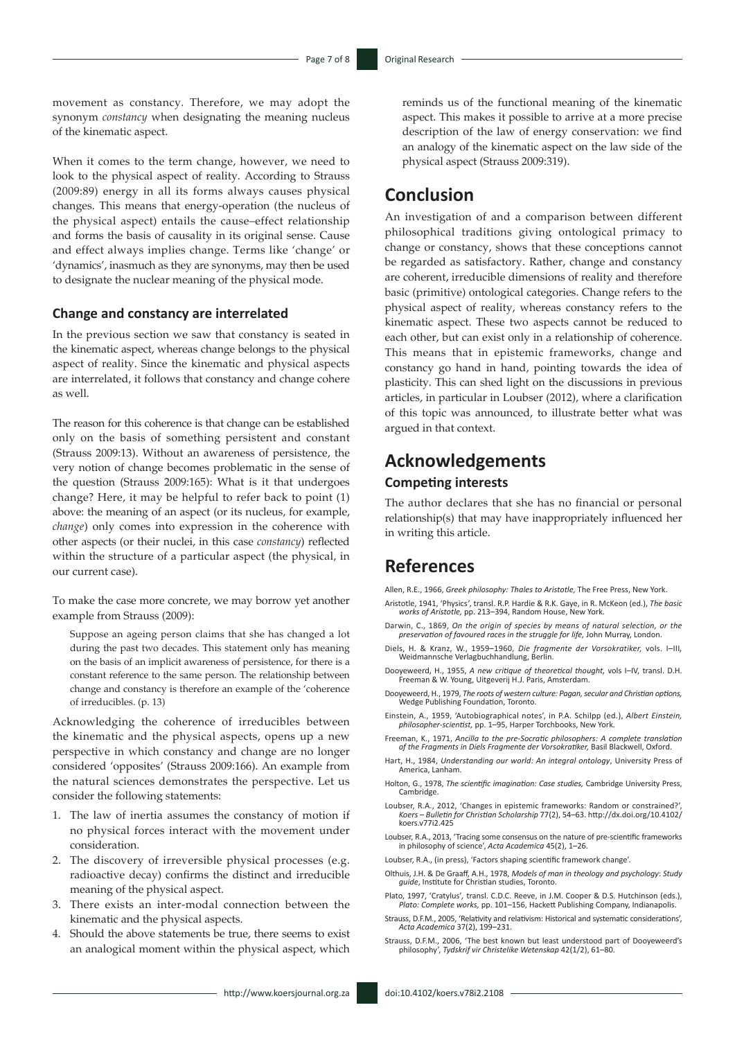movement as constancy. Therefore, we may adopt the synonym *constancy* when designating the meaning nucleus of the kinematic aspect.

When it comes to the term change, however, we need to look to the physical aspect of reality. According to Strauss (2009:89) energy in all its forms always causes physical changes. This means that energy-operation (the nucleus of the physical aspect) entails the cause–effect relationship and forms the basis of causality in its original sense. Cause and effect always implies change. Terms like 'change' or 'dynamics', inasmuch as they are synonyms, may then be used to designate the nuclear meaning of the physical mode.

#### **Change and constancy are interrelated**

In the previous section we saw that constancy is seated in the kinematic aspect, whereas change belongs to the physical aspect of reality. Since the kinematic and physical aspects are interrelated, it follows that constancy and change cohere as well.

The reason for this coherence is that change can be established only on the basis of something persistent and constant (Strauss 2009:13). Without an awareness of persistence, the very notion of change becomes problematic in the sense of the question (Strauss 2009:165): What is it that undergoes change? Here, it may be helpful to refer back to point (1) above: the meaning of an aspect (or its nucleus, for example, *change*) only comes into expression in the coherence with other aspects (or their nuclei, in this case *constancy*) reflected within the structure of a particular aspect (the physical, in our current case).

To make the case more concrete, we may borrow yet another example from Strauss (2009):

Suppose an ageing person claims that she has changed a lot during the past two decades. This statement only has meaning on the basis of an implicit awareness of persistence, for there is a constant reference to the same person. The relationship between change and constancy is therefore an example of the 'coherence of irreducibles. (p. 13)

Acknowledging the coherence of irreducibles between the kinematic and the physical aspects, opens up a new perspective in which constancy and change are no longer considered 'opposites' (Strauss 2009:166). An example from the natural sciences demonstrates the perspective. Let us consider the following statements:

- 1. The law of inertia assumes the constancy of motion if no physical forces interact with the movement under consideration.
- 2. The discovery of irreversible physical processes (e.g. radioactive decay) confirms the distinct and irreducible meaning of the physical aspect.
- 3. There exists an inter-modal connection between the kinematic and the physical aspects.
- Should the above statements be true, there seems to exist an analogical moment within the physical aspect, which

reminds us of the functional meaning of the kinematic aspect. This makes it possible to arrive at a more precise description of the law of energy conservation: we find an analogy of the kinematic aspect on the law side of the physical aspect (Strauss 2009:319).

### **Conclusion**

An investigation of and a comparison between different philosophical traditions giving ontological primacy to change or constancy, shows that these conceptions cannot be regarded as satisfactory. Rather, change and constancy are coherent, irreducible dimensions of reality and therefore basic (primitive) ontological categories. Change refers to the physical aspect of reality, whereas constancy refers to the kinematic aspect. These two aspects cannot be reduced to each other, but can exist only in a relationship of coherence. This means that in epistemic frameworks, change and constancy go hand in hand, pointing towards the idea of plasticity. This can shed light on the discussions in previous articles, in particular in Loubser (2012), where a clarification of this topic was announced, to illustrate better what was argued in that context.

### **Acknowledgements**

### **Competing interests**

The author declares that she has no financial or personal relationship(s) that may have inappropriately influenced her in writing this article.

## **References**

Allen, R.E., 1966, *Greek philosophy: Thales to Aristotle,* The Free Press, New York.

- Aristotle, 1941, 'Physics*'*, transl. R.P. Hardie & R.K. Gaye, in R. McKeon (ed.), *The basic works of Aristotle,* pp. 213–394, Random House, New York.
- Darwin, C., 1869, *On the origin of species by means of natural selection, or the preservation of favoured races in the struggle for life,* John Murray, London.
- Diels, H. & Kranz, W., 1959–1960, *Die fragmente der Vorsokratiker,* vols. I–III*,* Weidmannsche Verlagbuchhandlung, Berlin.
- Dooyeweerd, H., 1955, *A new critique of theoretical thought,* vols I–IV, transl. D.H. Freeman & W. Young, Uitgeverij H.J. Paris, Amsterdam.
- Dooyeweerd, H., 1979, *The roots of western culture: Pagan, secular and Christian options,* Wedge Publishing Foundation, Toronto.
- Einstein, A., 1959, 'Autobiographical notes', in P.A. Schilpp (ed*.*), *Albert Einstein, philosopher-scientist,* pp. 1–95, Harper Torchbooks, New York.
- Freeman, K., 1971, *Ancilla to the pre-Socratic philosophers: A complete translation of the Fragments in Diels Fragmente der Vorsokratiker,* Basil Blackwell, Oxford.
- Hart, H., 1984, *Understanding our world: An integral ontology*, University Press of America, Lanham.
- Holton, G., 1978, *The scientific imagination: Case studies,* Cambridge University Press, con, e.,<br>Cambridge.
- Loubser, R.A., 2012, 'Changes in epistemic frameworks: Random or constrained?' *Koers* – *Bulletin for Christian Scholarship* 77(2), 54–63. [http://dx.doi.org/10.4102/](http://dx.doi.org/10.4102/koers.v77i2.425) [koers.v77i2.425](http://dx.doi.org/10.4102/koers.v77i2.425)
- Loubser, R.A., 2013, 'Tracing some consensus on the nature of pre-scientific frameworks in philosophy of science', *Acta Academica* 45(2), 1–26.
- Loubser, R.A., (in press), 'Factors shaping scientific framework change'.
- Olthuis, J.H. & De Graaff, A.H., 1978, *Models of man in theology and psychology*: *Study guide*, Institute for Christian studies, Toronto.
- Plato, 1997, 'Cratylus'*,* transl. C.D.C. Reeve, in J.M. Cooper & D.S. Hutchinson (eds.), *Plato: Complete works,* pp. 101–156, Hackett Publishing Company, Indianapolis.
- Strauss, D.F.M., 2005, 'Relativity and relativism: Historical and systematic considerations', *Acta Academica* 37(2), 199–231.
- Strauss, D.F.M., 2006, 'The best known but least understood part of Dooyeweerd's philosophy', *Tydskrif vir Christelike Wetenskap* 42(1/2), 61–80.